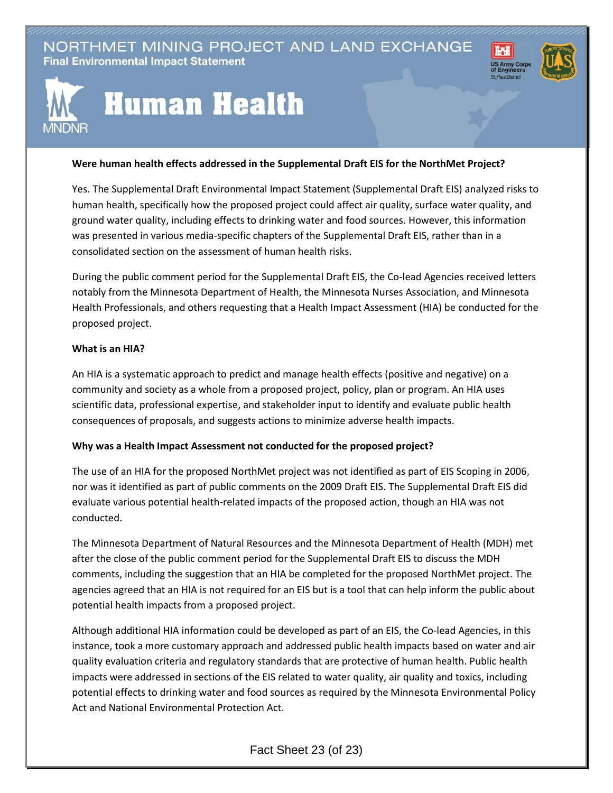## NORTHMET MINING PROJECT AND LAND EXCHANGE **Final Environmental Impact Statement**





# **Human Health**

#### **Were human health effects addressed in the Supplemental Draft EIS for the NorthMet Project?**

Yes. The Supplemental Draft Environmental Impact Statement (Supplemental Draft EIS) analyzed risks to human health, specifically how the proposed project could affect air quality, surface water quality, and ground water quality, including effects to drinking water and food sources. However, this information was presented in various media-specific chapters of the Supplemental Draft EIS, rather than in a consolidated section on the assessment of human health risks.

During the public comment period for the Supplemental Draft EIS, the Co-lead Agencies received letters notably from the Minnesota Department of Health, the Minnesota Nurses Association, and Minnesota Health Professionals, and others requesting that a Health Impact Assessment (HIA) be conducted for the proposed project.

#### **What is an HIA?**

An HIA is a systematic approach to predict and manage health effects (positive and negative) on a community and society as a whole from a proposed project, policy, plan or program. An HIA uses scientific data, professional expertise, and stakeholder input to identify and evaluate public health consequences of proposals, and suggests actions to minimize adverse health impacts.

### **Why was a Health Impact Assessment not conducted for the proposed project?**

The use of an HIA for the proposed NorthMet project was not identified as part of EIS Scoping in 2006, nor was it identified as part of public comments on the 2009 Draft EIS. The Supplemental Draft EIS did evaluate various potential health-related impacts of the proposed action, though an HIA was not conducted.

The Minnesota Department of Natural Resources and the Minnesota Department of Health (MDH) met after the close of the public comment period for the Supplemental Draft EIS to discuss the MDH comments, including the suggestion that an HIA be completed for the proposed NorthMet project. The agencies agreed that an HIA is not required for an EIS but is a tool that can help inform the public about potential health impacts from a proposed project.

Although additional HIA information could be developed as part of an EIS, the Co-lead Agencies, in this instance, took a more customary approach and addressed public health impacts based on water and air quality evaluation criteria and regulatory standards that are protective of human health. Public health impacts were addressed in sections of the EIS related to water quality, air quality and toxics, including potential effects to drinking water and food sources as required by the Minnesota Environmental Policy Act and National Environmental Protection Act.